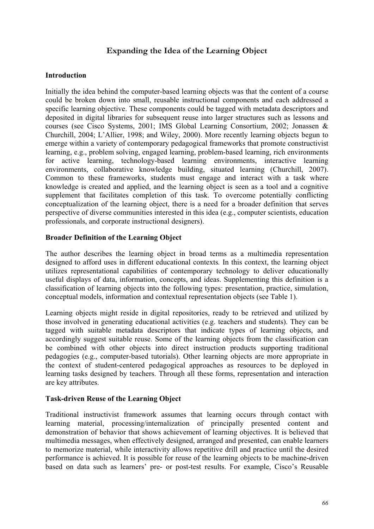# **Expanding the Idea of the Learning Object**

### **Introduction**

Initially the idea behind the computer-based learning objects was that the content of a course could be broken down into small, reusable instructional components and each addressed a specific learning objective. These components could be tagged with metadata descriptors and deposited in digital libraries for subsequent reuse into larger structures such as lessons and courses (see Cisco Systems, 2001; IMS Global Learning Consortium, 2002; Jonassen & Churchill, 2004; L'Allier, 1998; and Wiley, 2000). More recently learning objects begun to emerge within a variety of contemporary pedagogical frameworks that promote constructivist learning, e.g., problem solving, engaged learning, problem-based learning, rich environments for active learning, technology-based learning environments, interactive learning environments, collaborative knowledge building, situated learning (Churchill, 2007). Common to these frameworks, students must engage and interact with a task where knowledge is created and applied, and the learning object is seen as a tool and a cognitive supplement that facilitates completion of this task. To overcome potentially conflicting conceptualization of the learning object, there is a need for a broader definition that serves perspective of diverse communities interested in this idea (e.g., computer scientists, education professionals, and corporate instructional designers).

### **Broader Definition of the Learning Object**

The author describes the learning object in broad terms as a multimedia representation designed to afford uses in different educational contexts*.* In this context, the learning object utilizes representational capabilities of contemporary technology to deliver educationally useful displays of data, information, concepts, and ideas. Supplementing this definition is a classification of learning objects into the following types: presentation, practice, simulation, conceptual models, information and contextual representation objects (see Table 1).

Learning objects might reside in digital repositories, ready to be retrieved and utilized by those involved in generating educational activities (e.g. teachers and students). They can be tagged with suitable metadata descriptors that indicate types of learning objects, and accordingly suggest suitable reuse. Some of the learning objects from the classification can be combined with other objects into direct instruction products supporting traditional pedagogies (e.g., computer-based tutorials). Other learning objects are more appropriate in the context of student-centered pedagogical approaches as resources to be deployed in learning tasks designed by teachers. Through all these forms, representation and interaction are key attributes.

#### **Task-driven Reuse of the Learning Object**

Traditional instructivist framework assumes that learning occurs through contact with learning material, processing/internalization of principally presented content and demonstration of behavior that shows achievement of learning objectives. It is believed that multimedia messages, when effectively designed, arranged and presented, can enable learners to memorize material, while interactivity allows repetitive drill and practice until the desired performance is achieved. It is possible for reuse of the learning objects to be machine-driven based on data such as learners' pre- or post-test results. For example, Cisco's Reusable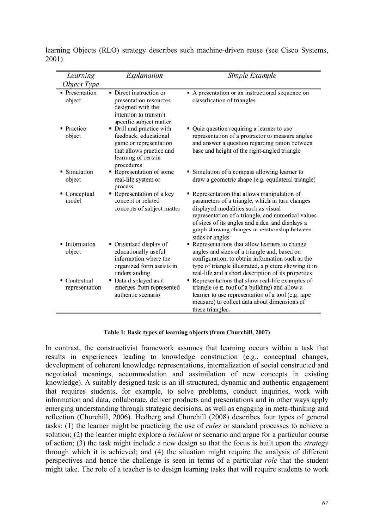| Learning                            | Explanation                                                                                                                                   | Simple Example                                                                                                                                                                                                                                                                                                       |
|-------------------------------------|-----------------------------------------------------------------------------------------------------------------------------------------------|----------------------------------------------------------------------------------------------------------------------------------------------------------------------------------------------------------------------------------------------------------------------------------------------------------------------|
| Object Type                         |                                                                                                                                               |                                                                                                                                                                                                                                                                                                                      |
| • Presentation<br>object            | • Direct instruction or<br>presentation resources<br>designed with the<br>intention to transmit<br>specific subject matter                    | A presentation or an instructional sequence on<br>classification of triangles                                                                                                                                                                                                                                        |
| • Practice<br>object                | • Drill and practice with<br>feedback, educational<br>game or representation<br>that allows practice and<br>learning of certain<br>procedures | • Quiz question requiring a learner to use<br>representation of a protractor to measure angles<br>and answer a question regarding ration between<br>base and height of the right-angled triangle                                                                                                                     |
| $\blacksquare$ Simulation<br>object | Representation of some<br>real-life system or<br>process                                                                                      | Simulation of a compass allowing learner to<br>draw a geometric shape (e.g. equilateral triangle)                                                                                                                                                                                                                    |
| Conceptual<br>model                 | Representation of a key<br>concept or related<br>concepts of subject matter                                                                   | • Representation that allows manipulation of<br>parameters of a triangle, which in turn changes<br>displayed modalities such as visual<br>representation of a triangle, and numerical values<br>of sizes of its angles and sides, and displays a<br>graph showing changes in relationship between<br>sides or angles |
| Information<br>object               | • Organized display of<br>educationally useful<br>information where the<br>organized form assists in<br>understanding                         | • Representations that allow learners to change<br>angles and sizes of a triangle and, based on<br>configuration, to obtain information such as the<br>type of triangle illustrated, a picture showing it in<br>real-life and a short description of its properties                                                  |
| Contextual<br>representation        | • Data displayed as it<br>emerges from represented<br>authentic scenario                                                                      | Representations that show real-life examples of<br>triangle (e.g. roof of a building) and allow a<br>learner to use representation of a tool (e.g. tape<br>measure) to collect data about dimensions of<br>these triangles.                                                                                          |

learning Objects (RLO) strategy describes such machine-driven reuse (see Cisco Systems, 2001).

#### **Table 1: Basic types of learning objects (from Churchill, 2007)**

In contrast, the constructivist framework assumes that learning occurs within a task that results in experiences leading to knowledge construction (e.g., conceptual changes, development of coherent knowledge representations, internalization of social constructed and negotiated meanings, accommodation and assimilation of new concepts in existing knowledge). A suitably designed task is an ill-structured, dynamic and authentic engagement that requires students, for example, to solve problems, conduct inquiries, work with information and data, collaborate, deliver products and presentations and in other ways apply emerging understanding through strategic decisions, as well as engaging in meta-thinking and reflection (Churchill, 2006). Hedberg and Churchill (2008) describes four types of general tasks: (1) the learner might be practicing the use of *rules* or standard processes to achieve a solution; (2) the learner might explore a *incident* or scenario and argue for a particular course of action; (3) the task might include a new design so that the focus is built upon the *strategy* through which it is achieved; and (4) the situation might require the analysis of different perspectives and hence the challenge is seen in terms of a particular *role* that the student might take. The role of a teacher is to design learning tasks that will require students to work